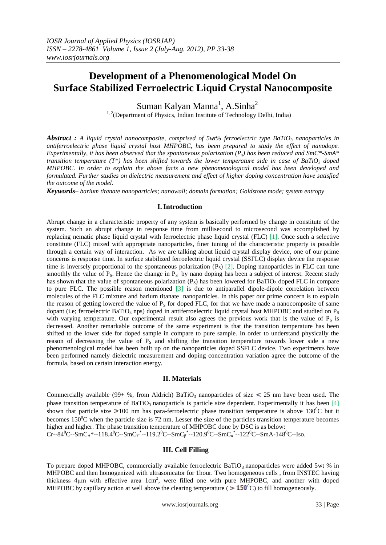# **Development of a Phenomenological Model On Surface Stabilized Ferroelectric Liquid Crystal Nanocomposite**

Suman Kalyan Manna<sup>1</sup>, A.Sinha<sup>2</sup>

<sup>1, 2</sup>(Department of Physics, Indian Institute of Technology Delhi, India)

*Abstract : A liquid crystal nanocomposite, comprised of 5wt% ferroelectric type BaTiO<sup>3</sup> nanoparticles in antiferroelectric phase liquid crystal host MHPOBC, has been prepared to study the effect of nanodope. Experimentally, it has been observed that the spontaneous polarization (Ps) has been reduced and SmC\*-SmA\* transition temperature (T\*) has been shifted towards the lower temperature side in case of BaTiO<sup>3</sup> doped MHPOBC. In order to explain the above facts a new phenomenological model has been developed and formulated. Further studies on dielectric measurement and effect of higher doping concentration have satisfied the outcome of the model.*

*Keywords– barium titanate nanoparticles; nanowall; domain formation; Goldstone mode; system entropy* 

#### **I.Introduction**

Abrupt change in a characteristic property of any system is basically performed by change in constitute of the system. Such an abrupt change in response time from millisecond to microsecond was accomplished by replacing nematic phase liquid crystal with ferroelectric phase liquid crystal (FLC) [1]. Once such a selective constitute (FLC) mixed with appropriate nanoparticles, finer tuning of the characteristic property is possible through a certain way of interaction. As we are talking about liquid crystal display device, one of our prime concerns is response time. In surface stabilized ferroelectric liquid crystal (SSFLC) display device the response time is inversely proportional to the spontaneous polarization  $(P_S)$  [2]. Doping nanoparticles in FLC can tune smoothly the value of  $P_s$ . Hence the change in  $P_s$  by nano doping has been a subject of interest. Recent study has shown that the value of spontaneous polarization  $(P_s)$  has been lowered for BaTiO<sub>3</sub> doped FLC in compare to pure FLC. The possible reason mentioned [3] is due to antiparallel dipole-dipole correlation between molecules of the FLC mixture and barium titanate nanoparticles. In this paper our prime concern is to explain the reason of getting lowered the value of  $P<sub>S</sub>$  for doped FLC, for that we have made a nanocomposite of same dopant (i.e; ferroelectric BaTiO<sub>3</sub> nps) doped in antiferroelectric liquid crystal host MHPOBC and studied on P<sub>S</sub> with varying temperature. Our experimental result also agrees the previous work that is the value of  $P<sub>S</sub>$  is decreased. Another remarkable outcome of the same experiment is that the transition temperature has been shifted to the lower side for doped sample in compare to pure sample. In order to understand physically the reason of decreasing the value of  $P_s$  and shifting the transition temperature towards lower side a new phenomenological model has been built up on the nanoparticles doped SSFLC device. Two experiments have been performed namely dielectric measurement and doping concentration variation agree the outcome of the formula, based on certain interaction energy.

# **II. Materials**

Commercially available (99+ %, from Aldrich) BaTiO<sub>3</sub> nanoparticles of size  $\leq$  25 nm have been used. The phase transition temperature of BaTiO<sub>3</sub> nanoparticls is particle size dependent. Experimentally it has been [4] shown that particle size  $>100$  nm has para-ferroelectric phase transition temperature is above 130<sup>o</sup>C but it becomes  $150^{\circ}$ C when the particle size is 72 nm. Lesser the size of the particles transition temperature becomes higher and higher. The phase transition temperature of MHPOBC done by DSC is as below:  $Cr-84^0C-SmC_A^*--118.4^0C-SmC_Y^*--119.2^0C-SmC_B^*--120.9^0C-SmC_\alpha^*-122^0C-SmA-148^0C-Iso.$ 

#### **III. Cell Filling**

To prepare doped MHPOBC, commercially available ferroelectric BaTiO<sub>3</sub> nanoparticles were added 5wt % in MHPOBC and then homogenized with ultrasonicator for 1hour. Two homogeneous cells , from INSTEC having thickness 4μm with effective area 1cm<sup>2</sup>, were filled one with pure MHPOBC, and another with doped MHPOBC by capillary action at well above the clearing temperature ( $> 150^{\circ}$ C) to fill homogeneously.

www.iosrjournals.org 33 | Page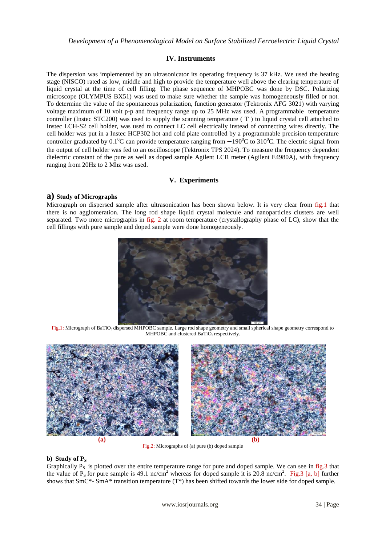# **IV. Instruments**

The dispersion was implemented by an ultrasonicator its operating frequency is 37 kHz. We used the heating stage (NISCO) rated as low, middle and high to provide the temperature well above the clearing temperature of liquid crystal at the time of cell filling. The phase sequence of MHPOBC was done by DSC. Polarizing microscope (OLYMPUS BX51) was used to make sure whether the sample was homogeneously filled or not. To determine the value of the spontaneous polarization, function generator (Tektronix AFG 3021) with varying voltage maximum of 10 volt p-p and frequency range up to 25 MHz was used. A programmable temperature controller (Instec STC200) was used to supply the scanning temperature ( T ) to liquid crystal cell attached to Instec LCH-S2 cell holder, was used to connect LC cell electrically instead of connecting wires directly. The cell holder was put in a Instec HCP302 hot and cold plate controlled by a programmable precision temperature controller graduated by  $0.1^{\circ}$ C can provide temperature ranging from  $-190^{\circ}$ C to 310<sup>°</sup>C. The electric signal from the output of cell holder was fed to an oscilloscope (Tektronix TPS 2024). To measure the frequency dependent dielectric constant of the pure as well as doped sample Agilent LCR meter (Agilent E4980A), with frequency ranging from 20Hz to 2 Mhz was used.

# **V. Experiments**

# **a) Study of Micrographs**

Micrograph on dispersed sample after ultrasonication has been shown below. It is very clear from fig.1 that there is no agglomeration. The long rod shape liquid crystal molecule and nanoparticles clusters are well separated. Two more micrographs in fig. 2 at room temperature (crystallography phase of LC), show that the cell fillings with pure sample and doped sample were done homogeneously.



Fig.1: Micrograph of BaTiO<sub>3</sub> dispersed MHPOBC sample. Large rod shape geometry and small spherical shape geometry correspond to MHPOBC and clustered BaTiO<sub>3</sub> respectively.



Fig.2: Micrographs of (a) pure (b) doped sample

#### **b**) **Study of**  $P_S$

Graphically  $P_s$  is plotted over the entire temperature range for pure and doped sample. We can see in fig.3 that the value of  $P_S$  for pure sample is 49.1 nc/cm<sup>2</sup> whereas for doped sample it is 20.8 nc/cm<sup>2</sup>. Fig.3 [a, b] further shows that  $SmC^*$ - SmA\* transition temperature  $(T^*)$  has been shifted towards the lower side for doped sample.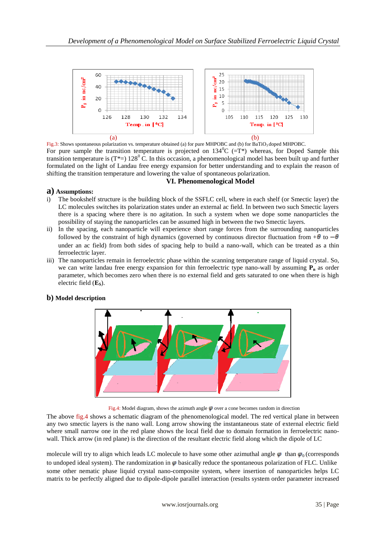

Fig.3: Shows spontaneous polarization vs. temperature obtained (a) for pure MHPOBC and (b) for BaTiO<sub>3</sub> doped MHPOBC. For pure sample the transition temperature is projected on  $134^{\circ}C$  ( $=T^*$ ) whereas, for Doped Sample this transition temperature is  $(T^*=) 128^{\circ}$  C. In this occasion, a phenomenological model has been built up and further formulated on the light of Landau free energy expansion for better understanding and to explain the reason of shifting the transition temperature and lowering the value of spontaneous polarization.

# **VI. Phenomenological Model**

# **a) Assumptions:**

- i) The bookshelf structure is the building block of the SSFLC cell, where in each shelf (or Smectic layer) the LC molecules switches its polarization states under an external ac field. In between two such Smectic layers there is a spacing where there is no agitation. In such a system when we dope some nanoparticles the possibility of staying the nanoparticles can be assumed high in between the two Smectic layers.
- ii) In the spacing, each nanoparticle will experience short range forces from the surrounding nanoparticles followed by the constraint of high dynamics (governed by continuous director fluctuation from  $+\theta$  to  $-\theta$ under an ac field) from both sides of spacing help to build a nano-wall, which can be treated as a thin ferroelectric layer.
- iii) The nanoparticles remain in ferroelectric phase within the scanning temperature range of liquid crystal. So, we can write landau free energy expansion for thin ferroelectric type nano-wall by assuming  $P_n$  as order parameter, which becomes zero when there is no external field and gets saturated to one when there is high electric field (**ES**).

#### **b) Model description**

Fig.4: Model diagram, shows the azimuth angle  $\varphi$  over a cone becomes random in direction

The above fig.4 shows a schematic diagram of the phenomenological model. The red vertical plane in between any two smectic layers is the nano wall. Long arrow showing the instantaneous state of external electric field where small narrow one in the red plane shows the local field due to domain formation in ferroelectric nanowall. Thick arrow (in red plane) is the direction of the resultant electric field along which the dipole of LC

molecule will try to align which leads LC molecule to have some other azimuthal angle  $\varphi$  than  $\varphi_0$  (corresponds to undoped ideal system). The randomization in  $\varphi$  basically reduce the spontaneous polarization of FLC. Unlike some other nematic phase liquid crystal nano-composite system, where insertion of nanoparticles helps LC matrix to be perfectly aligned due to dipole-dipole parallel interaction (results system order parameter increased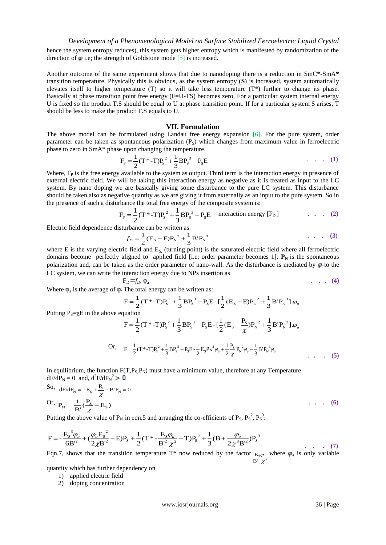hence the system entropy reduces), this system gets higher entropy which is manifested by randomization of the direction of  $\varphi$  i.e; the strength of Goldstone mode [5] is increased.

Another outcome of the same experiment shows that due to nanodoping there is a reduction in SmC\*-SmA\* transition temperature. Physically this is obvious, as the system entropy (**S**) is increased, system automatically elevates itself to higher temperature (T) so it will take less temperature (T\*) further to change its phase. Basically at phase transition point free energy (F=U-TS) becomes zero. For a particular system internal energy U is fixed so the product T.S should be equal to U at phase transition point. If for a particular system S arises, T should be less to make the product T.S equals to U.

#### **VII. Formulation**

The above model can be formulated using Landau free energy expansion [6]. For the pure system, order parameter can be taken as spontaneous polarization  $(P_s)$  which changes from maximum value in ferroelectric phase to zero in SmA\* phase upon changing the temperature.

$$
F_{P} = \frac{1}{2}(T^{*}-T)P_{S}^{2} + \frac{1}{3}BP_{S}^{3} - P_{S}E
$$
 (1)

Where,  $F<sub>P</sub>$  is the free energy available to the system as output. Third term is the interaction energy in presence of external electric field. We will be taking this interaction energy as negative as it is treated as input to the LC system. By nano doping we are basically giving some disturbance to the pure LC system. This disturbance should be taken also as negative quantity as we are giving it from externally as an input to the pure system. So in the presence of such a disturbance the total free energy of the composite system is:

$$
F_{\rm P} = \frac{1}{2} (T^* - T) P_{\rm S}^2 + \frac{1}{3} B P_{\rm S}^3 - P_{\rm S} E
$$
 – interaction energy [F<sub>D</sub>] . . . . (2)

Electric field dependence disturbance can be written as

$$
f_D = \frac{1}{2} (E_S - E) P_N^2 + \frac{1}{3} B' P_N^3
$$
 (3)

where E is the varying electric field and  $E<sub>S</sub>$  (turning point) is the saturated electric field where all ferroelectric domains become perfectly aligned to applied field [i.e; order parameter becomes 1].  $\mathbf{P}_N$  is the spontaneous polarization and, can be taken as the order parameter of nano-wall. As the disturbance is mediated by  $\varphi$  to the LC system, we can write the interaction energy due to NPs insertion as

$$
F_D = f_D. \; \varphi_a
$$

Where  $\varphi_a$  is the average of  $\varphi$ . The total energy can be written as:

$$
F = \frac{1}{2} (T^* - T) P_s^2 + \frac{1}{3} B P_s^3 - P_s E - \left[ \frac{1}{2} (E_s - E) P_N^2 + \frac{1}{3} B' P_N^3 \right] \phi_a
$$

Putting  $P_s = \gamma E$  in the above equation

$$
F = \frac{1}{2} (T^* - T) P_s^2 + \frac{1}{3} B P_s^3 - P_s E - \left[ \frac{1}{2} (E_s - \frac{P_s}{\chi}) P_N^2 + \frac{1}{3} B' P_N^3 \right] \cdot \varphi_a
$$
  
Or, 
$$
F = \frac{1}{2} (T^* - T) P_s^2 + \frac{1}{3} B P_s^3 - P_s E - \frac{1}{2} E_s P_N^2 \varphi_a + \frac{1}{2} \frac{P_s}{\chi} P_N^2 \varphi_a - \frac{1}{3} B' P_N^3 \varphi_a
$$

In equilibrium, the function  $F(T, P_s, P_N)$  must have a minimum value, therefore at any Temperature  $dF/dP_N = 0$  and,  $d^2F/dP_N^2$ 

So, 
$$
dF/dP_N = -E_S + \frac{P_S}{\chi} - B'P_N = 0
$$
  
Or, 
$$
P_N = \frac{1}{B'}(\frac{P_S}{\chi} - E_S)
$$
 ... (6)

Putting the above value of  $P_N$  in eqn.5 and arranging the co-efficients of  $P_S$ ,  $P_S^2$ ,  $P_S^3$ .

$$
F = -\frac{E_s^3 \varphi_a}{6B^2} + (\frac{\varphi_a E_s^2}{2\chi B^2} - E)P_s + \frac{1}{2}(T^* - \frac{E_s \varphi_a}{B^2 \chi^2} - T)P_s^2 + \frac{1}{3}(B + \frac{\varphi_a}{2\chi^3 B^2})P_s^3
$$
\n(7)

Eqn.7, shows that the transition temperature T<sup>\*</sup> now reduced by the factor  $E_s \varphi_a$  where  $\varphi_a$  is only variable  ${\bf B'}^2 \chi^2$ 

quantity which has further dependency on

- 1) applied electric field
- 2) doping concentration

**. . . (4)**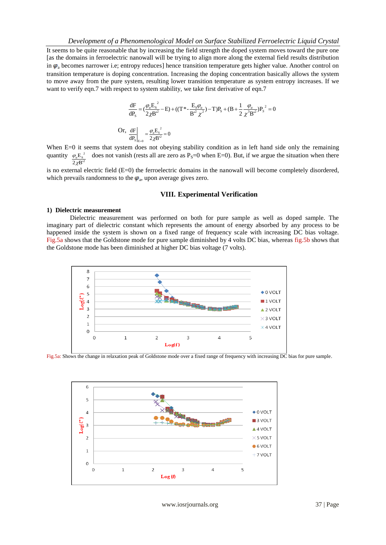It seems to be quite reasonable that by increasing the field strength the doped system moves toward the pure one [as the domains in ferroelectric nanowall will be trying to align more along the external field results distribution in  $\varphi$ <sub>a</sub> becomes narrower i.e; entropy reduces] hence transition temperature gets higher value. Another control on transition temperature is doping concentration. Increasing the doping concentration basically allows the system to move away from the pure system, resulting lower transition temperature as system entropy increases. If we want to verify eqn.7 with respect to system stability, we take first derivative of eqn.7

$$
\frac{dF}{dP_s} = (\frac{\varphi_a E_s^2}{2\chi B^2} - E) + ((T^* - \frac{E_s \varphi_a}{B^2 \chi^2}) - T)P_s + (B + \frac{1}{2} \frac{\varphi_a}{\chi^3 B^2})P_s^2 = 0
$$
  
Or, 
$$
\frac{dF}{dP_s}\Big|_{E=0} = \frac{\varphi_a E_s^2}{2\chi B^2} = 0
$$

When E=0 it seems that system does not obeying stability condition as in left hand side only the remaining quantity  $\varphi_a E_s^2$  does not vanish (rests all are zero as P<sub>S</sub>=0 when E=0). But, if we argue the situation when there  $\frac{\varphi_a \mathbf{L}_\mathbf{S}}{2 \chi \mathbf{B}^2}$ 

is no external electric field (E=0) the ferroelectric domains in the nanowall will become completely disordered, which prevails randomness to the  $\varphi$ <sub>a</sub>, upon average gives zero.

#### **VIII. Experimental Verification**

#### **1) Dielectric measurement**

Dielectric measurement was performed on both for pure sample as well as doped sample. The imaginary part of dielectric constant which represents the amount of energy absorbed by any process to be happened inside the system is shown on a fixed range of frequency scale with increasing DC bias voltage. Fig.5a shows that the Goldstone mode for pure sample diminished by 4 volts DC bias, whereas fig.5b shows that the Goldstone mode has been diminished at higher DC bias voltage (7 volts).